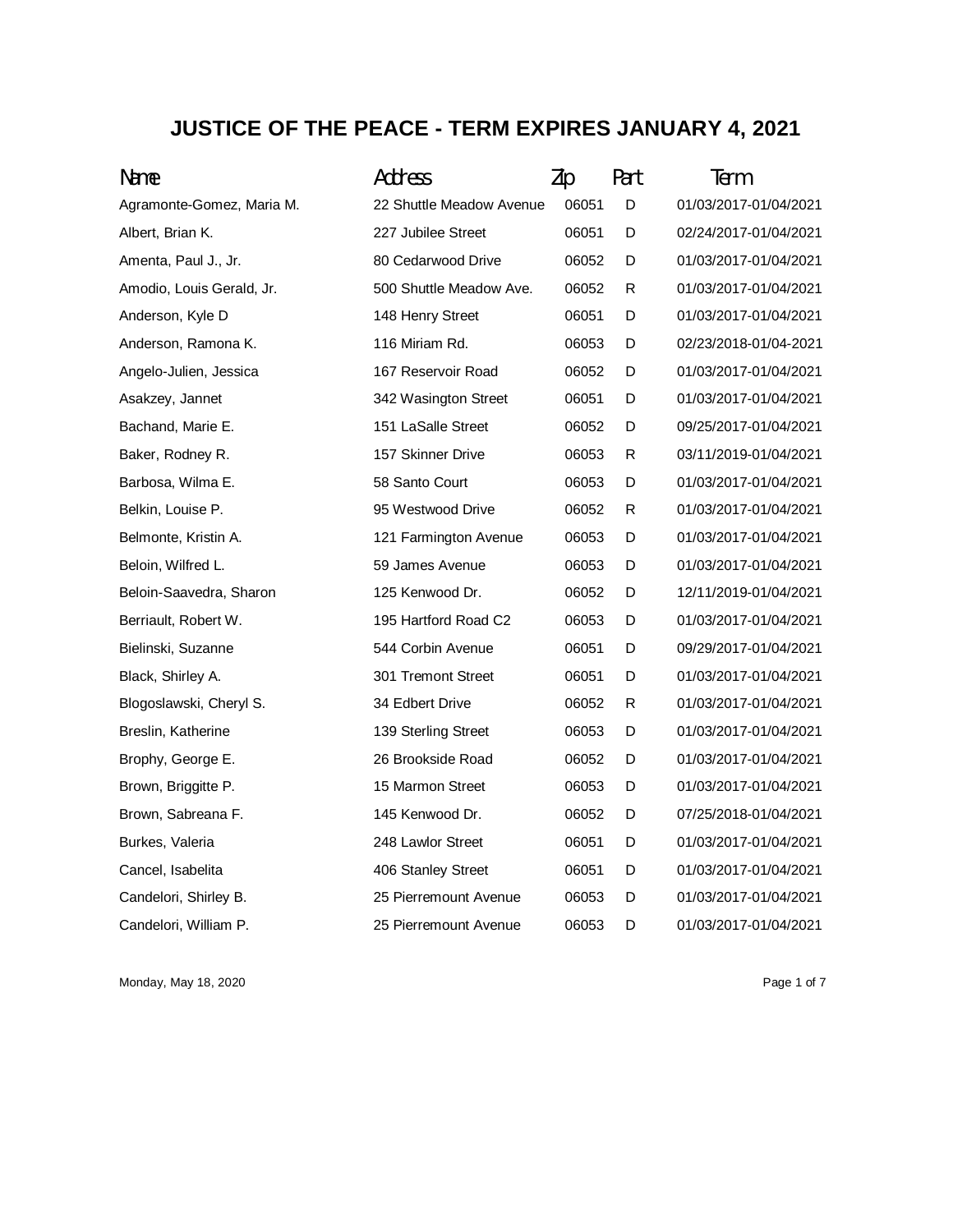## **JUSTICE OF THE PEACE - TERM EXPIRES JANUARY 4, 2021**

| Name                      | Address                  | Zip   | Part | Term                  |
|---------------------------|--------------------------|-------|------|-----------------------|
| Agramonte-Gomez, Maria M. | 22 Shuttle Meadow Avenue | 06051 | D    | 01/03/2017-01/04/2021 |
| Albert, Brian K.          | 227 Jubilee Street       | 06051 | D    | 02/24/2017-01/04/2021 |
| Amenta, Paul J., Jr.      | 80 Cedarwood Drive       | 06052 | D    | 01/03/2017-01/04/2021 |
| Amodio, Louis Gerald, Jr. | 500 Shuttle Meadow Ave.  | 06052 | R    | 01/03/2017-01/04/2021 |
| Anderson, Kyle D          | 148 Henry Street         | 06051 | D    | 01/03/2017-01/04/2021 |
| Anderson, Ramona K.       | 116 Miriam Rd.           | 06053 | D    | 02/23/2018-01/04-2021 |
| Angelo-Julien, Jessica    | 167 Reservoir Road       | 06052 | D    | 01/03/2017-01/04/2021 |
| Asakzey, Jannet           | 342 Wasington Street     | 06051 | D    | 01/03/2017-01/04/2021 |
| Bachand, Marie E.         | 151 LaSalle Street       | 06052 | D    | 09/25/2017-01/04/2021 |
| Baker, Rodney R.          | 157 Skinner Drive        | 06053 | R    | 03/11/2019-01/04/2021 |
| Barbosa, Wilma E.         | 58 Santo Court           | 06053 | D    | 01/03/2017-01/04/2021 |
| Belkin, Louise P.         | 95 Westwood Drive        | 06052 | R    | 01/03/2017-01/04/2021 |
| Belmonte, Kristin A.      | 121 Farmington Avenue    | 06053 | D    | 01/03/2017-01/04/2021 |
| Beloin, Wilfred L.        | 59 James Avenue          | 06053 | D    | 01/03/2017-01/04/2021 |
| Beloin-Saavedra, Sharon   | 125 Kenwood Dr.          | 06052 | D    | 12/11/2019-01/04/2021 |
| Berriault, Robert W.      | 195 Hartford Road C2     | 06053 | D    | 01/03/2017-01/04/2021 |
| Bielinski, Suzanne        | 544 Corbin Avenue        | 06051 | D    | 09/29/2017-01/04/2021 |
| Black, Shirley A.         | 301 Tremont Street       | 06051 | D    | 01/03/2017-01/04/2021 |
| Blogoslawski, Cheryl S.   | 34 Edbert Drive          | 06052 | R    | 01/03/2017-01/04/2021 |
| Breslin, Katherine        | 139 Sterling Street      | 06053 | D    | 01/03/2017-01/04/2021 |
| Brophy, George E.         | 26 Brookside Road        | 06052 | D    | 01/03/2017-01/04/2021 |
| Brown, Briggitte P.       | 15 Marmon Street         | 06053 | D    | 01/03/2017-01/04/2021 |
| Brown, Sabreana F.        | 145 Kenwood Dr.          | 06052 | D    | 07/25/2018-01/04/2021 |
| Burkes, Valeria           | 248 Lawlor Street        | 06051 | D    | 01/03/2017-01/04/2021 |
| Cancel, Isabelita         | 406 Stanley Street       | 06051 | D    | 01/03/2017-01/04/2021 |
| Candelori, Shirley B.     | 25 Pierremount Avenue    | 06053 | D    | 01/03/2017-01/04/2021 |
| Candelori, William P.     | 25 Pierremount Avenue    | 06053 | D    | 01/03/2017-01/04/2021 |

Monday, May 18, 2020 **Page 1 of 7** Page 1 of 7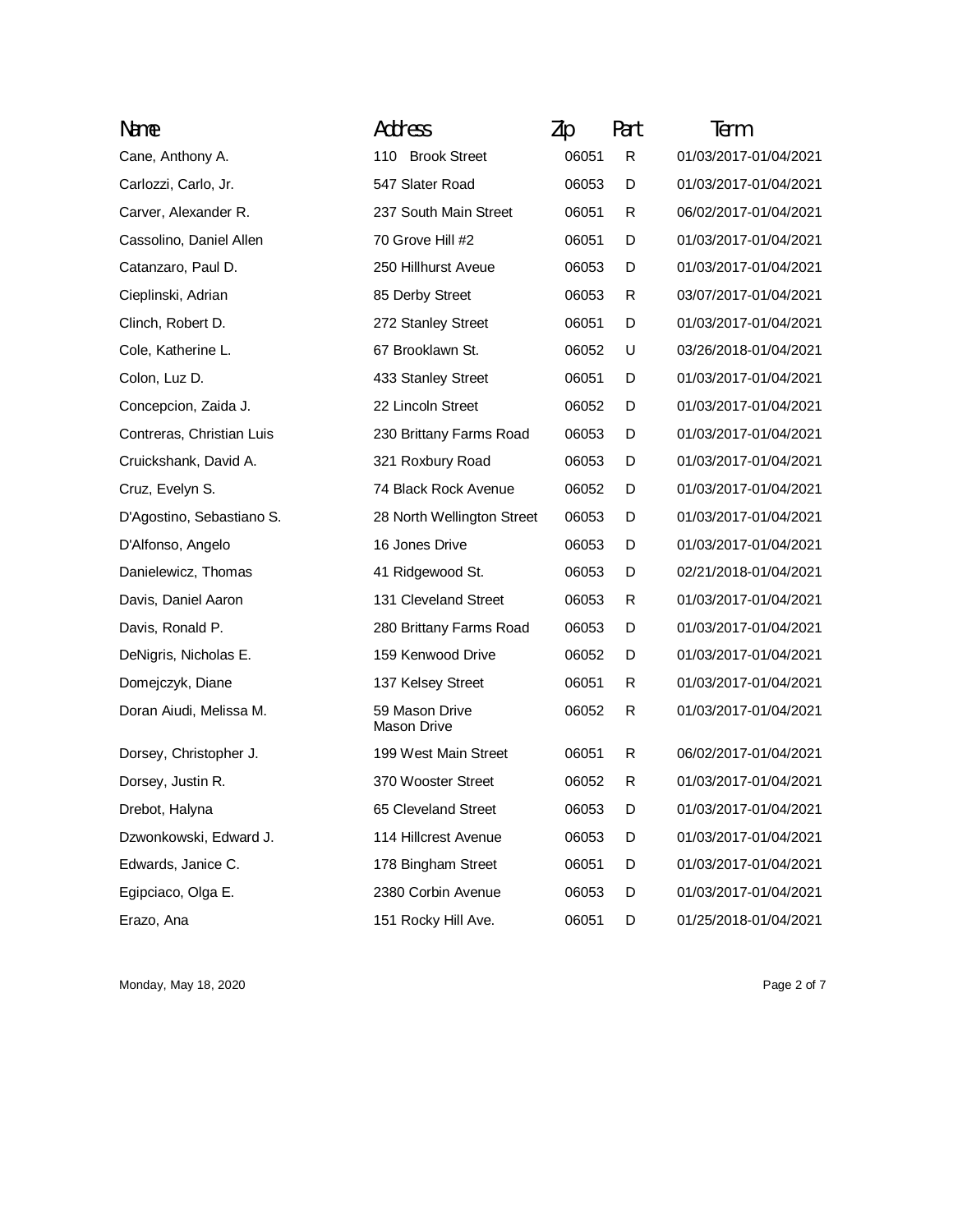| Name                      | Address                              | Zip   | Part | Term                  |
|---------------------------|--------------------------------------|-------|------|-----------------------|
| Cane, Anthony A.          | 110 Brook Street                     | 06051 | R    | 01/03/2017-01/04/2021 |
| Carlozzi, Carlo, Jr.      | 547 Slater Road                      | 06053 | D    | 01/03/2017-01/04/2021 |
| Carver, Alexander R.      | 237 South Main Street                | 06051 | R    | 06/02/2017-01/04/2021 |
| Cassolino, Daniel Allen   | 70 Grove Hill #2                     | 06051 | D    | 01/03/2017-01/04/2021 |
| Catanzaro, Paul D.        | 250 Hillhurst Aveue                  | 06053 | D    | 01/03/2017-01/04/2021 |
| Cieplinski, Adrian        | 85 Derby Street                      | 06053 | R    | 03/07/2017-01/04/2021 |
| Clinch, Robert D.         | 272 Stanley Street                   | 06051 | D    | 01/03/2017-01/04/2021 |
| Cole, Katherine L.        | 67 Brooklawn St.                     | 06052 | U    | 03/26/2018-01/04/2021 |
| Colon, Luz D.             | 433 Stanley Street                   | 06051 | D    | 01/03/2017-01/04/2021 |
| Concepcion, Zaida J.      | 22 Lincoln Street                    | 06052 | D    | 01/03/2017-01/04/2021 |
| Contreras, Christian Luis | 230 Brittany Farms Road              | 06053 | D    | 01/03/2017-01/04/2021 |
| Cruickshank, David A.     | 321 Roxbury Road                     | 06053 | D    | 01/03/2017-01/04/2021 |
| Cruz, Evelyn S.           | 74 Black Rock Avenue                 | 06052 | D    | 01/03/2017-01/04/2021 |
| D'Agostino, Sebastiano S. | 28 North Wellington Street           | 06053 | D    | 01/03/2017-01/04/2021 |
| D'Alfonso, Angelo         | 16 Jones Drive                       | 06053 | D    | 01/03/2017-01/04/2021 |
| Danielewicz, Thomas       | 41 Ridgewood St.                     | 06053 | D    | 02/21/2018-01/04/2021 |
| Davis, Daniel Aaron       | 131 Cleveland Street                 | 06053 | R    | 01/03/2017-01/04/2021 |
| Davis, Ronald P.          | 280 Brittany Farms Road              | 06053 | D    | 01/03/2017-01/04/2021 |
| DeNigris, Nicholas E.     | 159 Kenwood Drive                    | 06052 | D    | 01/03/2017-01/04/2021 |
| Domejczyk, Diane          | 137 Kelsey Street                    | 06051 | R    | 01/03/2017-01/04/2021 |
| Doran Aiudi, Melissa M.   | 59 Mason Drive<br><b>Mason Drive</b> | 06052 | R    | 01/03/2017-01/04/2021 |
| Dorsey, Christopher J.    | 199 West Main Street                 | 06051 | R    | 06/02/2017-01/04/2021 |
| Dorsey, Justin R.         | 370 Wooster Street                   | 06052 | R    | 01/03/2017-01/04/2021 |
| Drebot, Halyna            | 65 Cleveland Street                  | 06053 | D    | 01/03/2017-01/04/2021 |
| Dzwonkowski, Edward J.    | 114 Hillcrest Avenue                 | 06053 | D    | 01/03/2017-01/04/2021 |
| Edwards, Janice C.        | 178 Bingham Street                   | 06051 | D    | 01/03/2017-01/04/2021 |
| Egipciaco, Olga E.        | 2380 Corbin Avenue                   | 06053 | D    | 01/03/2017-01/04/2021 |
| Erazo, Ana                | 151 Rocky Hill Ave.                  | 06051 | D    | 01/25/2018-01/04/2021 |

Monday, May 18, 2020 **Page 2 of 7**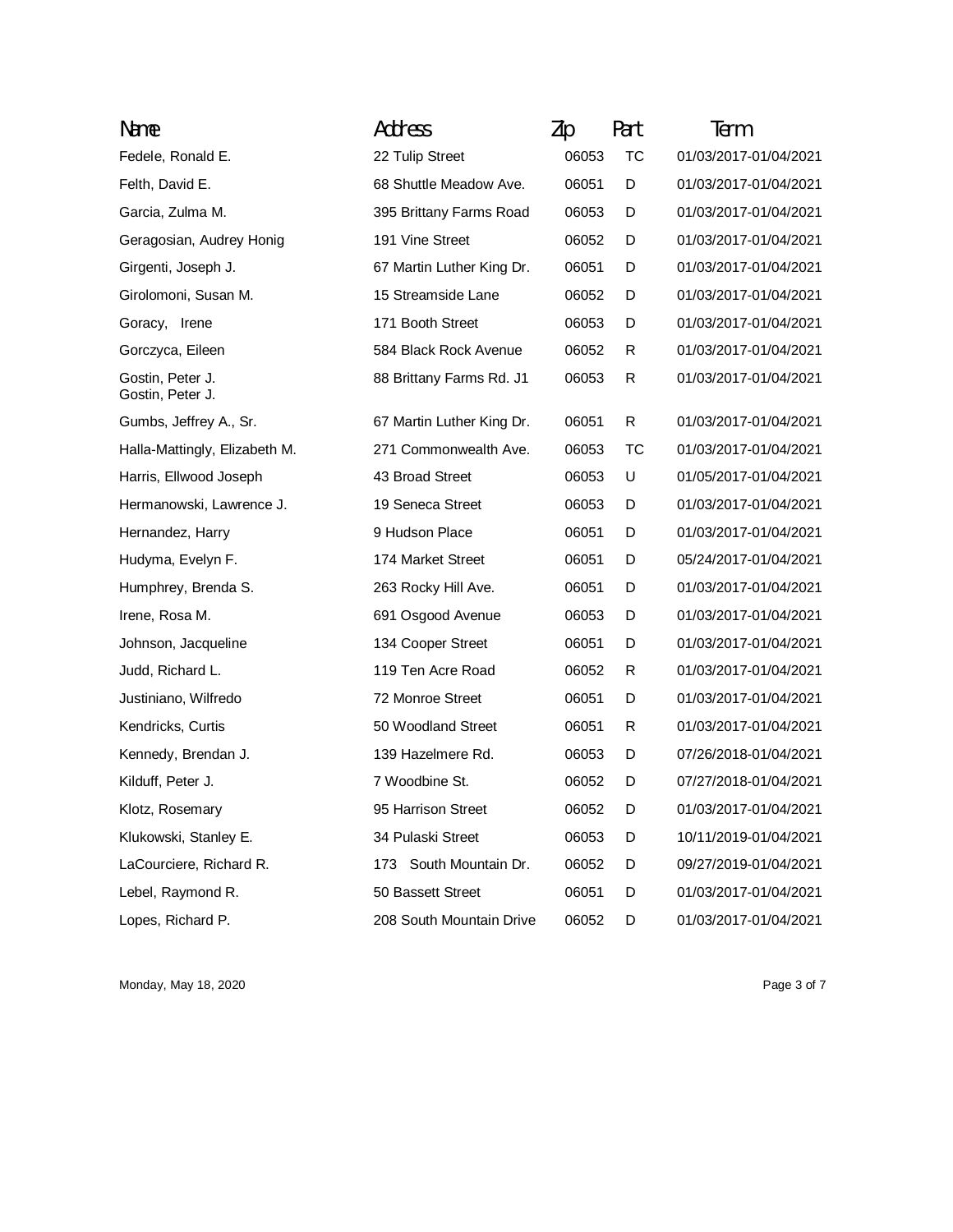| Name                                 | Address                   | Zip   | Part | Term                  |
|--------------------------------------|---------------------------|-------|------|-----------------------|
| Fedele, Ronald E.                    | 22 Tulip Street           | 06053 | ТC   | 01/03/2017-01/04/2021 |
| Felth, David E.                      | 68 Shuttle Meadow Ave.    | 06051 | D    | 01/03/2017-01/04/2021 |
| Garcia, Zulma M.                     | 395 Brittany Farms Road   | 06053 | D    | 01/03/2017-01/04/2021 |
| Geragosian, Audrey Honig             | 191 Vine Street           | 06052 | D    | 01/03/2017-01/04/2021 |
| Girgenti, Joseph J.                  | 67 Martin Luther King Dr. | 06051 | D    | 01/03/2017-01/04/2021 |
| Girolomoni, Susan M.                 | 15 Streamside Lane        | 06052 | D    | 01/03/2017-01/04/2021 |
| Goracy, Irene                        | 171 Booth Street          | 06053 | D    | 01/03/2017-01/04/2021 |
| Gorczyca, Eileen                     | 584 Black Rock Avenue     | 06052 | R    | 01/03/2017-01/04/2021 |
| Gostin, Peter J.<br>Gostin, Peter J. | 88 Brittany Farms Rd. J1  | 06053 | R    | 01/03/2017-01/04/2021 |
| Gumbs, Jeffrey A., Sr.               | 67 Martin Luther King Dr. | 06051 | R    | 01/03/2017-01/04/2021 |
| Halla-Mattingly, Elizabeth M.        | 271 Commonwealth Ave.     | 06053 | ТC   | 01/03/2017-01/04/2021 |
| Harris, Ellwood Joseph               | 43 Broad Street           | 06053 | U    | 01/05/2017-01/04/2021 |
| Hermanowski, Lawrence J.             | 19 Seneca Street          | 06053 | D    | 01/03/2017-01/04/2021 |
| Hernandez, Harry                     | 9 Hudson Place            | 06051 | D    | 01/03/2017-01/04/2021 |
| Hudyma, Evelyn F.                    | 174 Market Street         | 06051 | D    | 05/24/2017-01/04/2021 |
| Humphrey, Brenda S.                  | 263 Rocky Hill Ave.       | 06051 | D    | 01/03/2017-01/04/2021 |
| Irene, Rosa M.                       | 691 Osgood Avenue         | 06053 | D    | 01/03/2017-01/04/2021 |
| Johnson, Jacqueline                  | 134 Cooper Street         | 06051 | D    | 01/03/2017-01/04/2021 |
| Judd, Richard L.                     | 119 Ten Acre Road         | 06052 | R    | 01/03/2017-01/04/2021 |
| Justiniano, Wilfredo                 | 72 Monroe Street          | 06051 | D    | 01/03/2017-01/04/2021 |
| Kendricks, Curtis                    | 50 Woodland Street        | 06051 | R    | 01/03/2017-01/04/2021 |
| Kennedy, Brendan J.                  | 139 Hazelmere Rd.         | 06053 | D    | 07/26/2018-01/04/2021 |
| Kilduff, Peter J.                    | 7 Woodbine St.            | 06052 | D    | 07/27/2018-01/04/2021 |
| Klotz, Rosemary                      | 95 Harrison Street        | 06052 | D    | 01/03/2017-01/04/2021 |
| Klukowski, Stanley E.                | 34 Pulaski Street         | 06053 | D    | 10/11/2019-01/04/2021 |
| LaCourciere, Richard R.              | 173 South Mountain Dr.    | 06052 | D    | 09/27/2019-01/04/2021 |
| Lebel, Raymond R.                    | 50 Bassett Street         | 06051 | D    | 01/03/2017-01/04/2021 |
| Lopes, Richard P.                    | 208 South Mountain Drive  | 06052 | D    | 01/03/2017-01/04/2021 |

Monday, May 18, 2020 **Page 3 of 7** Page 3 of 7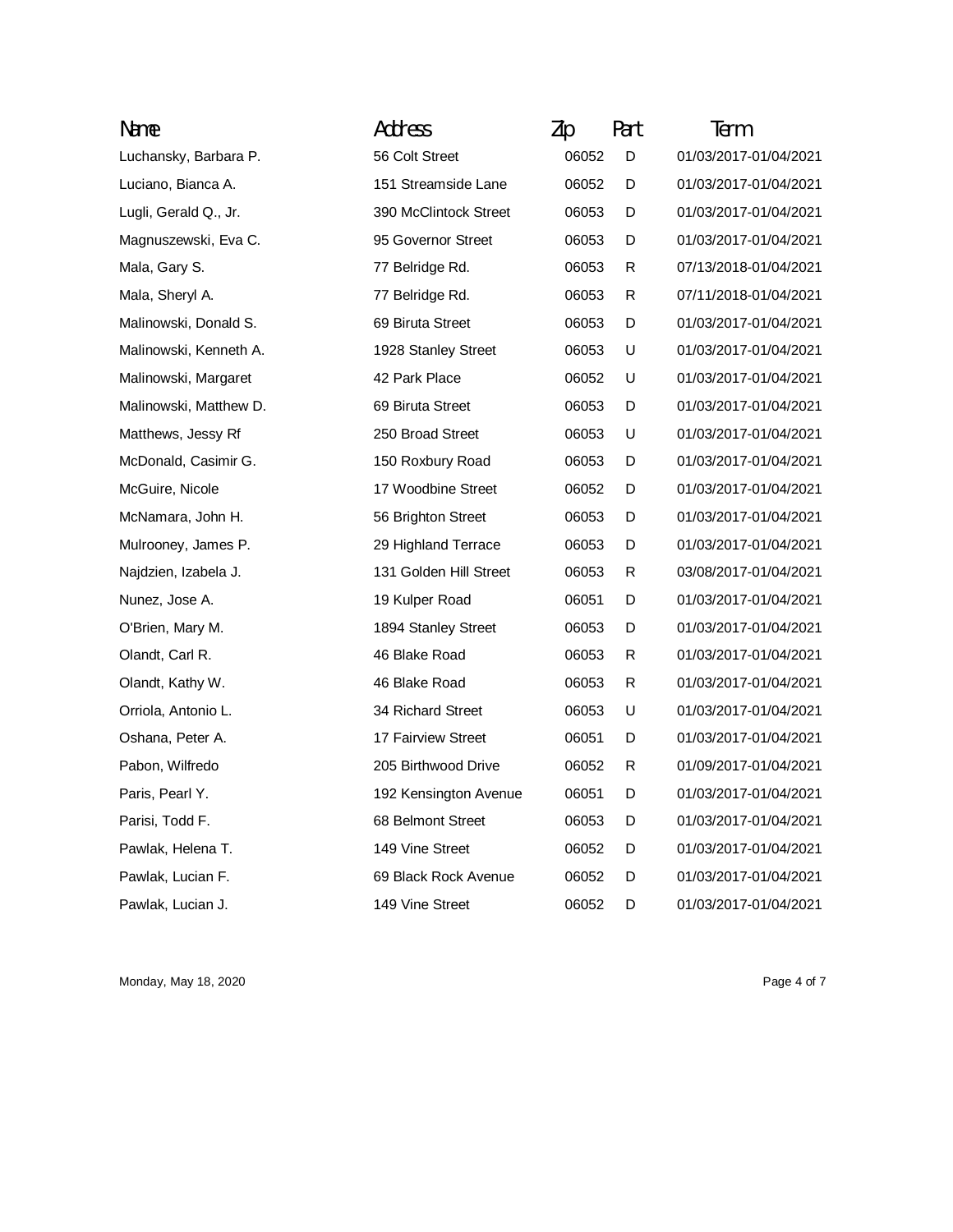| Name                   | Address                | Zip   | Part | Term                  |
|------------------------|------------------------|-------|------|-----------------------|
| Luchansky, Barbara P.  | 56 Colt Street         | 06052 | D    | 01/03/2017-01/04/2021 |
| Luciano, Bianca A.     | 151 Streamside Lane    | 06052 | D    | 01/03/2017-01/04/2021 |
| Lugli, Gerald Q., Jr.  | 390 McClintock Street  | 06053 | D    | 01/03/2017-01/04/2021 |
| Magnuszewski, Eva C.   | 95 Governor Street     | 06053 | D    | 01/03/2017-01/04/2021 |
| Mala, Gary S.          | 77 Belridge Rd.        | 06053 | R    | 07/13/2018-01/04/2021 |
| Mala, Sheryl A.        | 77 Belridge Rd.        | 06053 | R    | 07/11/2018-01/04/2021 |
| Malinowski, Donald S.  | 69 Biruta Street       | 06053 | D    | 01/03/2017-01/04/2021 |
| Malinowski, Kenneth A. | 1928 Stanley Street    | 06053 | U    | 01/03/2017-01/04/2021 |
| Malinowski, Margaret   | 42 Park Place          | 06052 | U    | 01/03/2017-01/04/2021 |
| Malinowski, Matthew D. | 69 Biruta Street       | 06053 | D    | 01/03/2017-01/04/2021 |
| Matthews, Jessy Rf     | 250 Broad Street       | 06053 | U    | 01/03/2017-01/04/2021 |
| McDonald, Casimir G.   | 150 Roxbury Road       | 06053 | D    | 01/03/2017-01/04/2021 |
| McGuire, Nicole        | 17 Woodbine Street     | 06052 | D    | 01/03/2017-01/04/2021 |
| McNamara, John H.      | 56 Brighton Street     | 06053 | D    | 01/03/2017-01/04/2021 |
| Mulrooney, James P.    | 29 Highland Terrace    | 06053 | D    | 01/03/2017-01/04/2021 |
| Najdzien, Izabela J.   | 131 Golden Hill Street | 06053 | R    | 03/08/2017-01/04/2021 |
| Nunez, Jose A.         | 19 Kulper Road         | 06051 | D    | 01/03/2017-01/04/2021 |
| O'Brien, Mary M.       | 1894 Stanley Street    | 06053 | D    | 01/03/2017-01/04/2021 |
| Olandt, Carl R.        | 46 Blake Road          | 06053 | R    | 01/03/2017-01/04/2021 |
| Olandt, Kathy W.       | 46 Blake Road          | 06053 | R    | 01/03/2017-01/04/2021 |
| Orriola, Antonio L.    | 34 Richard Street      | 06053 | U    | 01/03/2017-01/04/2021 |
| Oshana, Peter A.       | 17 Fairview Street     | 06051 | D    | 01/03/2017-01/04/2021 |
| Pabon, Wilfredo        | 205 Birthwood Drive    | 06052 | R    | 01/09/2017-01/04/2021 |
| Paris, Pearl Y.        | 192 Kensington Avenue  | 06051 | D    | 01/03/2017-01/04/2021 |
| Parisi, Todd F.        | 68 Belmont Street      | 06053 | D    | 01/03/2017-01/04/2021 |
| Pawlak, Helena T.      | 149 Vine Street        | 06052 | D    | 01/03/2017-01/04/2021 |
| Pawlak, Lucian F.      | 69 Black Rock Avenue   | 06052 | D    | 01/03/2017-01/04/2021 |
| Pawlak, Lucian J.      | 149 Vine Street        | 06052 | D    | 01/03/2017-01/04/2021 |

Monday, May 18, 2020 **Page 4 of 7** Page 4 of 7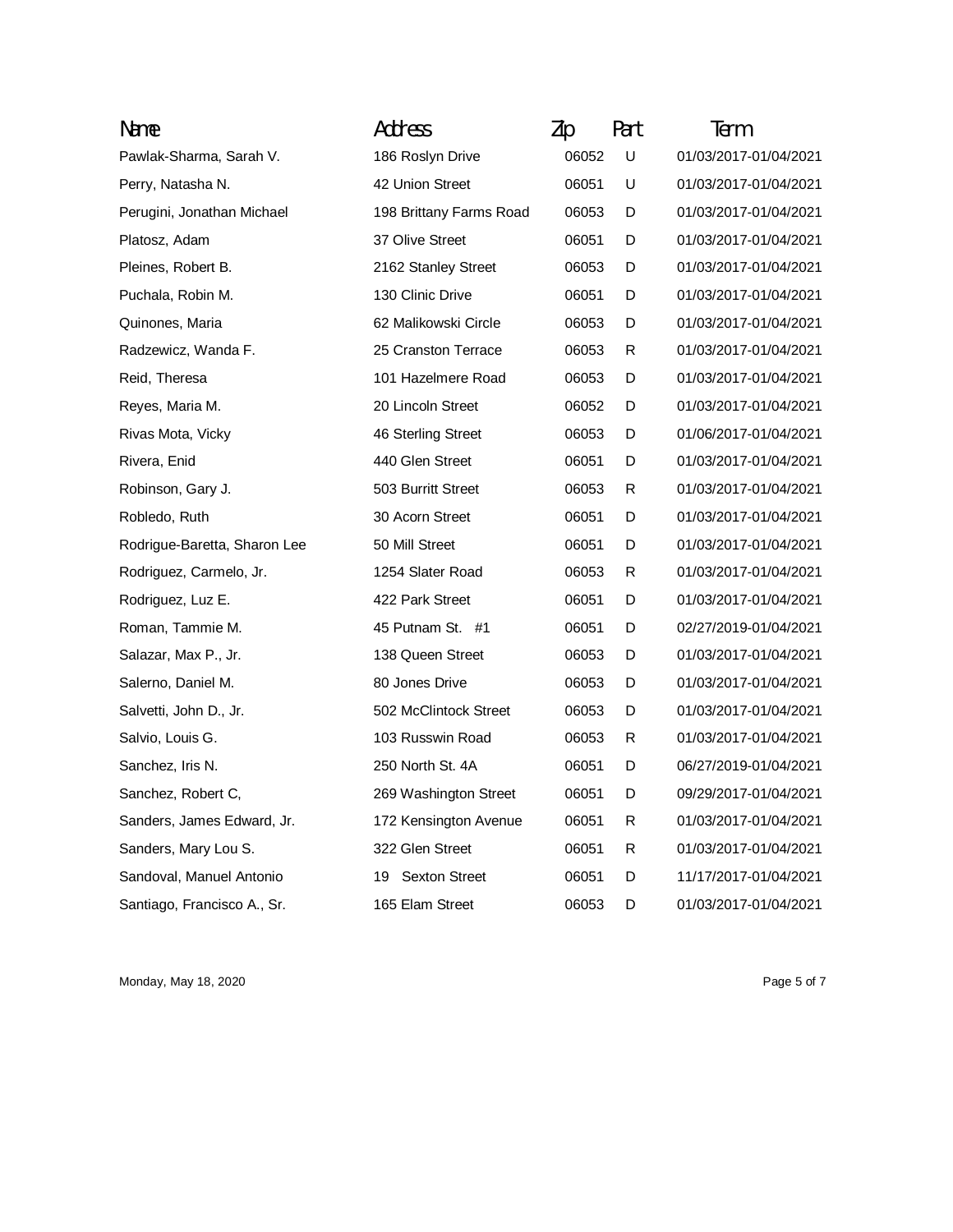| Name                         | Address                    | Zip   | Part | Term                  |
|------------------------------|----------------------------|-------|------|-----------------------|
| Pawlak-Sharma, Sarah V.      | 186 Roslyn Drive           | 06052 | U    | 01/03/2017-01/04/2021 |
| Perry, Natasha N.            | 42 Union Street            | 06051 | U    | 01/03/2017-01/04/2021 |
| Perugini, Jonathan Michael   | 198 Brittany Farms Road    | 06053 | D    | 01/03/2017-01/04/2021 |
| Platosz, Adam                | 37 Olive Street            | 06051 | D    | 01/03/2017-01/04/2021 |
| Pleines, Robert B.           | 2162 Stanley Street        | 06053 | D    | 01/03/2017-01/04/2021 |
| Puchala, Robin M.            | 130 Clinic Drive           | 06051 | D    | 01/03/2017-01/04/2021 |
| Quinones, Maria              | 62 Malikowski Circle       | 06053 | D    | 01/03/2017-01/04/2021 |
| Radzewicz, Wanda F.          | 25 Cranston Terrace        | 06053 | R    | 01/03/2017-01/04/2021 |
| Reid, Theresa                | 101 Hazelmere Road         | 06053 | D    | 01/03/2017-01/04/2021 |
| Reyes, Maria M.              | 20 Lincoln Street          | 06052 | D    | 01/03/2017-01/04/2021 |
| Rivas Mota, Vicky            | 46 Sterling Street         | 06053 | D    | 01/06/2017-01/04/2021 |
| Rivera, Enid                 | 440 Glen Street            | 06051 | D    | 01/03/2017-01/04/2021 |
| Robinson, Gary J.            | 503 Burritt Street         | 06053 | R    | 01/03/2017-01/04/2021 |
| Robledo, Ruth                | 30 Acorn Street            | 06051 | D    | 01/03/2017-01/04/2021 |
| Rodrigue-Baretta, Sharon Lee | 50 Mill Street             | 06051 | D    | 01/03/2017-01/04/2021 |
| Rodriguez, Carmelo, Jr.      | 1254 Slater Road           | 06053 | R    | 01/03/2017-01/04/2021 |
| Rodriguez, Luz E.            | 422 Park Street            | 06051 | D    | 01/03/2017-01/04/2021 |
| Roman, Tammie M.             | 45 Putnam St. #1           | 06051 | D    | 02/27/2019-01/04/2021 |
| Salazar, Max P., Jr.         | 138 Queen Street           | 06053 | D    | 01/03/2017-01/04/2021 |
| Salerno, Daniel M.           | 80 Jones Drive             | 06053 | D    | 01/03/2017-01/04/2021 |
| Salvetti, John D., Jr.       | 502 McClintock Street      | 06053 | D    | 01/03/2017-01/04/2021 |
| Salvio, Louis G.             | 103 Russwin Road           | 06053 | R    | 01/03/2017-01/04/2021 |
| Sanchez, Iris N.             | 250 North St. 4A           | 06051 | D    | 06/27/2019-01/04/2021 |
| Sanchez, Robert C,           | 269 Washington Street      | 06051 | D    | 09/29/2017-01/04/2021 |
| Sanders, James Edward, Jr.   | 172 Kensington Avenue      | 06051 | R    | 01/03/2017-01/04/2021 |
| Sanders, Mary Lou S.         | 322 Glen Street            | 06051 | R    | 01/03/2017-01/04/2021 |
| Sandoval, Manuel Antonio     | <b>Sexton Street</b><br>19 | 06051 | D    | 11/17/2017-01/04/2021 |
| Santiago, Francisco A., Sr.  | 165 Elam Street            | 06053 | D    | 01/03/2017-01/04/2021 |

Monday, May 18, 2020 **Page 5 of 7** Page 5 of 7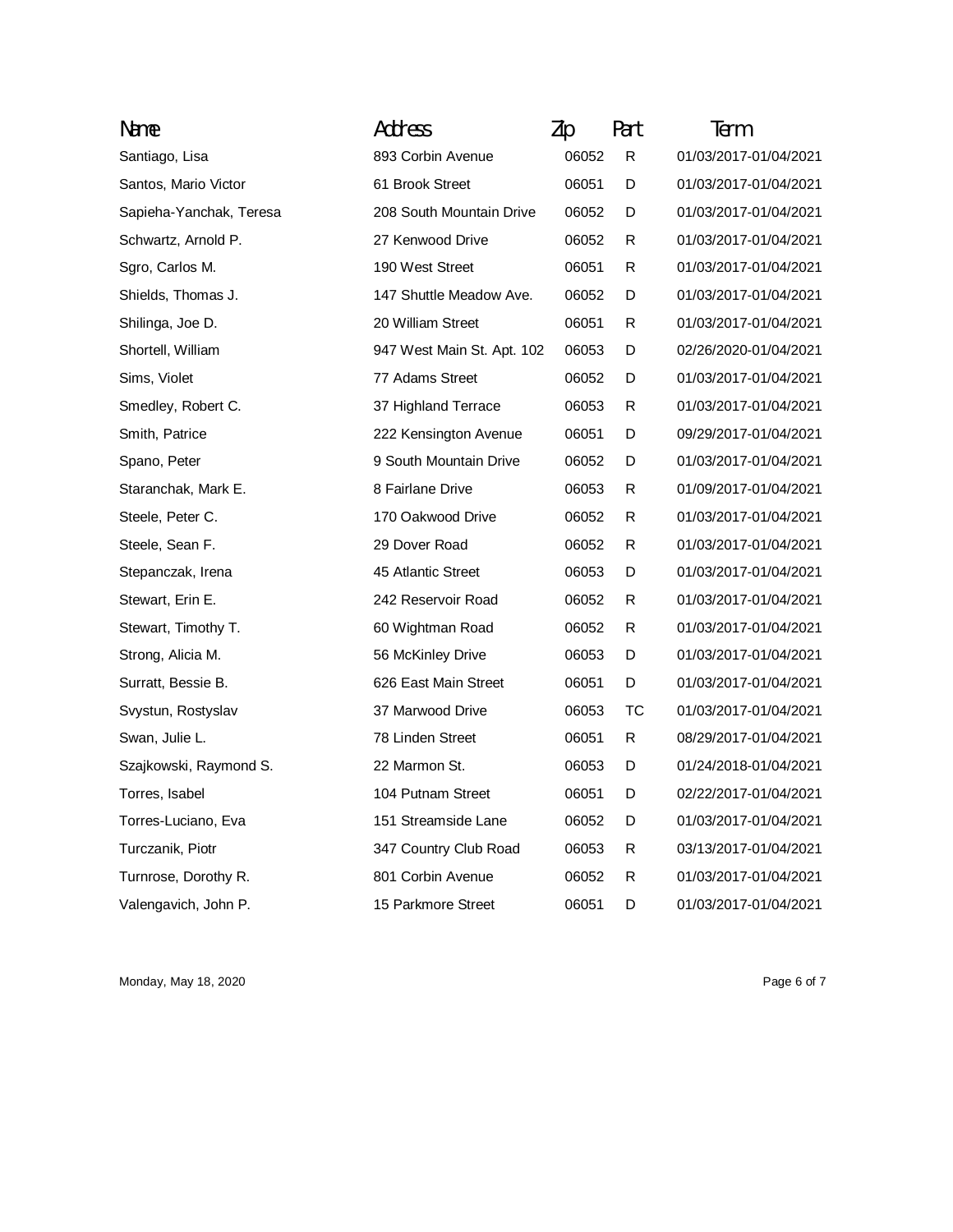| Name                    | Address                    | Zip   | Part | Term                  |
|-------------------------|----------------------------|-------|------|-----------------------|
| Santiago, Lisa          | 893 Corbin Avenue          | 06052 | R    | 01/03/2017-01/04/2021 |
| Santos, Mario Victor    | 61 Brook Street            | 06051 | D    | 01/03/2017-01/04/2021 |
| Sapieha-Yanchak, Teresa | 208 South Mountain Drive   | 06052 | D    | 01/03/2017-01/04/2021 |
| Schwartz, Arnold P.     | 27 Kenwood Drive           | 06052 | R    | 01/03/2017-01/04/2021 |
| Sgro, Carlos M.         | 190 West Street            | 06051 | R    | 01/03/2017-01/04/2021 |
| Shields, Thomas J.      | 147 Shuttle Meadow Ave.    | 06052 | D    | 01/03/2017-01/04/2021 |
| Shilinga, Joe D.        | 20 William Street          | 06051 | R    | 01/03/2017-01/04/2021 |
| Shortell, William       | 947 West Main St. Apt. 102 | 06053 | D    | 02/26/2020-01/04/2021 |
| Sims, Violet            | 77 Adams Street            | 06052 | D    | 01/03/2017-01/04/2021 |
| Smedley, Robert C.      | 37 Highland Terrace        | 06053 | R    | 01/03/2017-01/04/2021 |
| Smith, Patrice          | 222 Kensington Avenue      | 06051 | D    | 09/29/2017-01/04/2021 |
| Spano, Peter            | 9 South Mountain Drive     | 06052 | D    | 01/03/2017-01/04/2021 |
| Staranchak, Mark E.     | 8 Fairlane Drive           | 06053 | R    | 01/09/2017-01/04/2021 |
| Steele, Peter C.        | 170 Oakwood Drive          | 06052 | R    | 01/03/2017-01/04/2021 |
| Steele, Sean F.         | 29 Dover Road              | 06052 | R    | 01/03/2017-01/04/2021 |
| Stepanczak, Irena       | 45 Atlantic Street         | 06053 | D    | 01/03/2017-01/04/2021 |
| Stewart, Erin E.        | 242 Reservoir Road         | 06052 | R    | 01/03/2017-01/04/2021 |
| Stewart, Timothy T.     | 60 Wightman Road           | 06052 | R    | 01/03/2017-01/04/2021 |
| Strong, Alicia M.       | 56 McKinley Drive          | 06053 | D    | 01/03/2017-01/04/2021 |
| Surratt, Bessie B.      | 626 East Main Street       | 06051 | D    | 01/03/2017-01/04/2021 |
| Svystun, Rostyslav      | 37 Marwood Drive           | 06053 | тс   | 01/03/2017-01/04/2021 |
| Swan, Julie L.          | 78 Linden Street           | 06051 | R    | 08/29/2017-01/04/2021 |
| Szajkowski, Raymond S.  | 22 Marmon St.              | 06053 | D    | 01/24/2018-01/04/2021 |
| Torres, Isabel          | 104 Putnam Street          | 06051 | D    | 02/22/2017-01/04/2021 |
| Torres-Luciano, Eva     | 151 Streamside Lane        | 06052 | D    | 01/03/2017-01/04/2021 |
| Turczanik, Piotr        | 347 Country Club Road      | 06053 | R    | 03/13/2017-01/04/2021 |
| Turnrose, Dorothy R.    | 801 Corbin Avenue          | 06052 | R    | 01/03/2017-01/04/2021 |
| Valengavich, John P.    | 15 Parkmore Street         | 06051 | D    | 01/03/2017-01/04/2021 |

Monday, May 18, 2020 **Page 6 of 7** Page 6 of 7